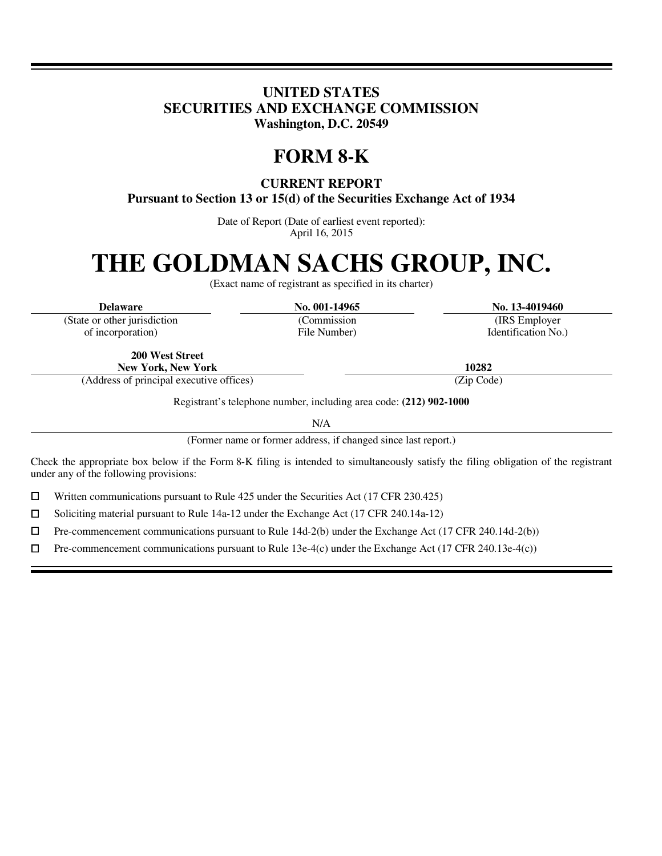# **UNITED STATES SECURITIES AND EXCHANGE COMMISSION Washington, D.C. 20549**

# **FORM 8-K**

**CURRENT REPORT** 

**Pursuant to Section 13 or 15(d) of the Securities Exchange Act of 1934** 

Date of Report (Date of earliest event reported): April 16, 2015

# **THE GOLDMAN SACHS GROUP, INC.**

(Exact name of registrant as specified in its charter)

l I

 $\overline{a}$ i

(State or other jurisdiction of incorporation)

(Commission File Number)

**Delaware No. 001-14965 No. 13-4019460**

(IRS Employer Identification No.)

**200 West Street New York, New York 10282**

(Address of principal executive offices) (Zip Code)

Registrant's telephone number, including area code: **(212) 902-1000**

N/A<br>(Former name or former address, if changed since last report.)

Check the appropriate box below if the Form 8-K filing is intended to simultaneously satisfy the filing obligation of the registrant under any of the following provisions:

 $□$  Written communications pursuant to Rule 425 under the Securities Act (17 CFR 230.425)<br>
□ Soliciting material pursuant to Rule 14a-12 under the Exchange Act (17 CFR 240.14a-12)

<p>\n 5oliciting material pursuit to Rule 14a-12 under the Exchange Act (17 CFR 240.14a-12)\n <math>\Box</math>\n Pre-component communications pursuit to Rule 14d-2(b) under the Exchange Act (17 CFR 240.14a-12)\n</p>

 $\Box$  Pre-commencement communications pursuant to Rule 14d-2(b) under the Exchange Act (17 CFR 240.14d-2(b))<br>  $\Box$  Pre-commencement communications pursuant to Rule 13e-4(c) under the Exchange Act (17 CFR 240.13e-4(c))

Pre-commencement communications pursuant to Rule 13e-4(c) under the Exchange Act (17 CFR 240.13e-4(c))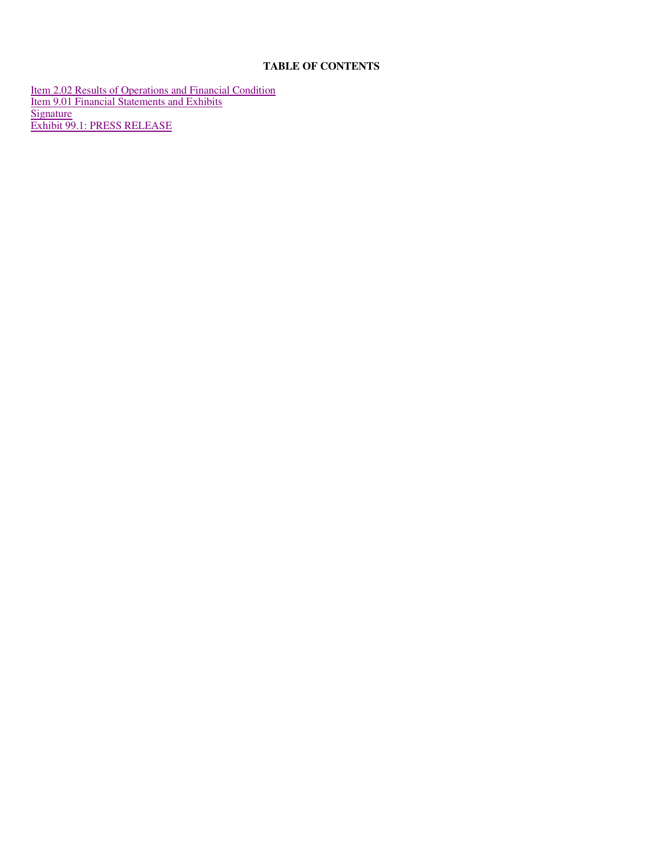# **TABLE OF CONTENTS**

Item 2.02 Results of Operations and Financial Condition Item 9.01 Financial Statements and Exhibits Signature **Signature** and the state of the state of the state of the state of the state of the state of the state of the state of the state of the state of the state of the state of the state of the state of the state of t Exhibit 99.1: PRESS RELEASE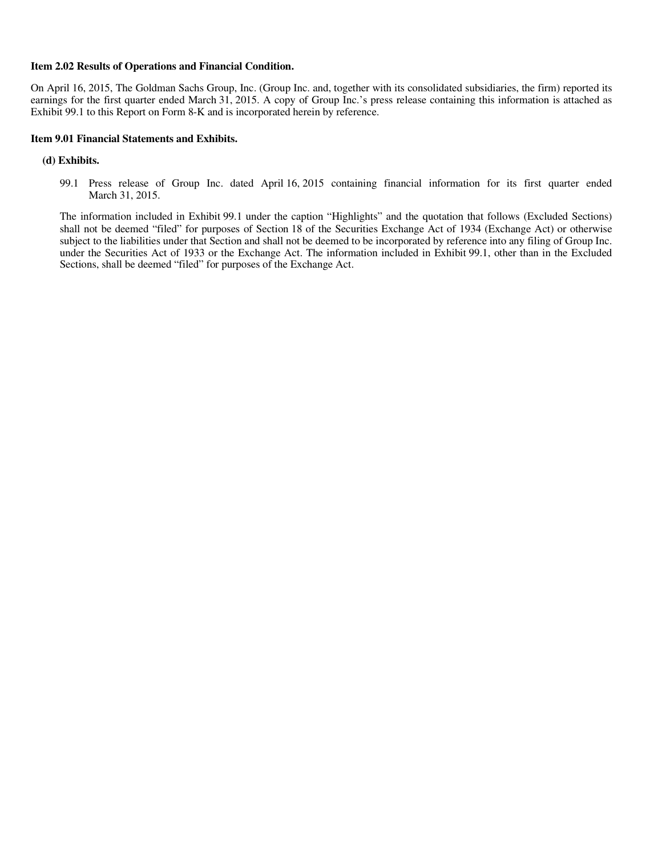#### **Item 2.02 Results of Operations and Financial Condition.**

On April 16, 2015, The Goldman Sachs Group, Inc. (Group Inc. and, together with its consolidated subsidiaries, the firm) reported its earnings for the first quarter ended March 31, 2015. A copy of Group Inc.'s press release containing this information is attached as Exhibit 99.1 to this Report on Form 8-K and is incorporated herein by reference.

#### **Item 9.01 Financial Statements and Exhibits.**

#### **(d) Exhibits.**

99.1 Press release of Group Inc. dated April 16, 2015 containing financial information for its first quarter ended March 31, 2015.

The information included in Exhibit 99.1 under the caption "Highlights" and the quotation that follows (Excluded Sections) shall not be deemed "filed" for purposes of Section 18 of the Securities Exchange Act of 1934 (Exchange Act) or otherwise subject to the liabilities under that Section and shall not be deemed to be incorporated by reference into any filing of Group Inc. under the Securities Act of 1933 or the Exchange Act. The information included in Exhibit 99.1, other than in the Excluded Sections, shall be deemed "filed" for purposes of the Exchange Act.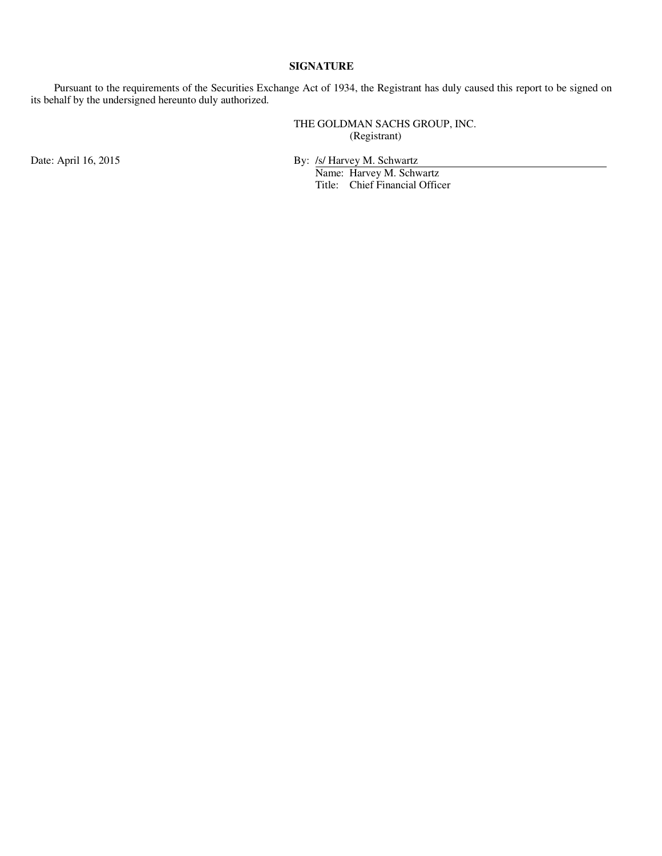# **SIGNATURE**

Pursuant to the requirements of the Securities Exchange Act of 1934, the Registrant has duly caused this report to be signed on its behalf by the undersigned hereunto duly authorized.

> THE GOLDMAN SACHS GROUP, INC. (Registrant)

Date: April 16, 2015 By: /s/ Harvey M. Schwartz

 Name: Harvey M. Schwartz Title: Chief Financial Officer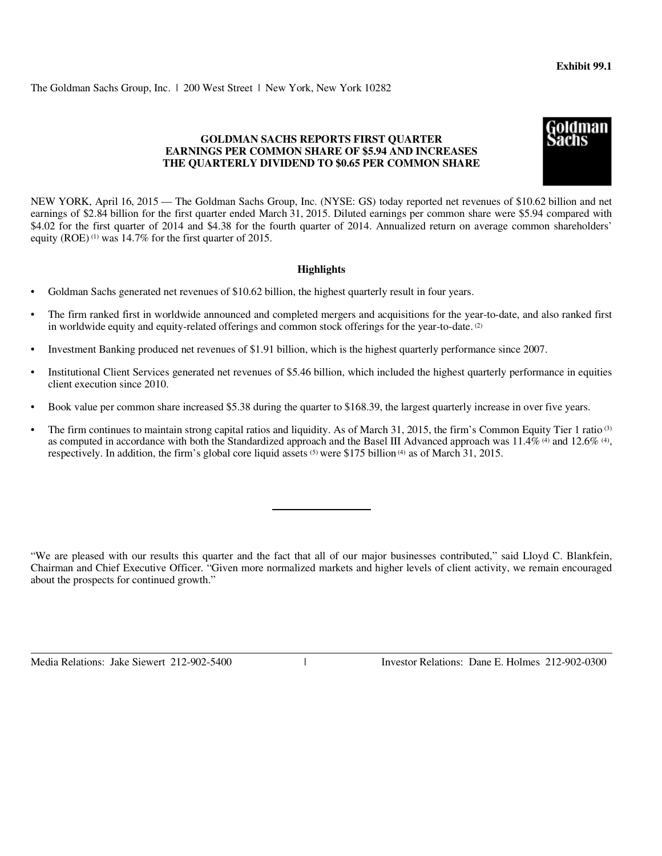The Goldman Sachs Group, Inc. | 200 West Street | New York, New York 10282

### **GOLDMAN SACHS REPORTS FIRST QUARTER EARNINGS PER COMMON SHARE OF \$5.94 AND INCREASES THE QUARTERLY DIVIDEND TO \$0.65 PER COMMON SHARE**

NEW YORK, April 16, 2015 — The Goldman Sachs Group, Inc. (NYSE: GS) today reported net revenues of \$10.62 billion and net earnings of \$2.84 billion for the first quarter ended March 31, 2015. Diluted earnings per common share were \$5.94 compared with \$4.02 for the first quarter of 2014 and \$4.38 for the fourth quarter of 2014. Annualized return on average common shareholders' equity  $(ROE)^{(1)}$  was 14.7% for the first quarter of 2015.

#### **Highlights**

- Goldman Sachs generated net revenues of \$10.62 billion, the highest quarterly result in four years.
- The firm ranked first in worldwide announced and completed mergers and acquisitions for the year-to-date, and also ranked first in worldwide equity and equity-related offerings and common stock offerings for the year-to-date.  $(2)$
- Investment Banking produced net revenues of \$1.91 billion, which is the highest quarterly performance since 2007.
- Institutional Client Services generated net revenues of \$5.46 billion, which included the highest quarterly performance in equities client execution since 2010.
- Book value per common share increased \$5.38 during the quarter to \$168.39, the largest quarterly increase in over five years.
- The firm continues to maintain strong capital ratios and liquidity. As of March 31, 2015, the firm's Common Equity Tier 1 ratio<sup>(3)</sup> as computed in accordance with both the Standardized approach and the Basel III Advanced approach was  $11.4\%$  (4) and  $12.6\%$  (4), respectively. In addition, the firm's global core liquid assets  $(5)$  were \$175 billion  $(4)$  as of March 31, 2015.

"We are pleased with our results this quarter and the fact that all of our major businesses contributed," said Lloyd C. Blankfein, Chairman and Chief Executive Officer. "Given more normalized markets and higher levels of client activity, we remain encouraged about the prospects for continued growth."

Media Relations: Jake Siewert 212-902-5400

Investor Relations: Dane E. Holmes 212-902-0300

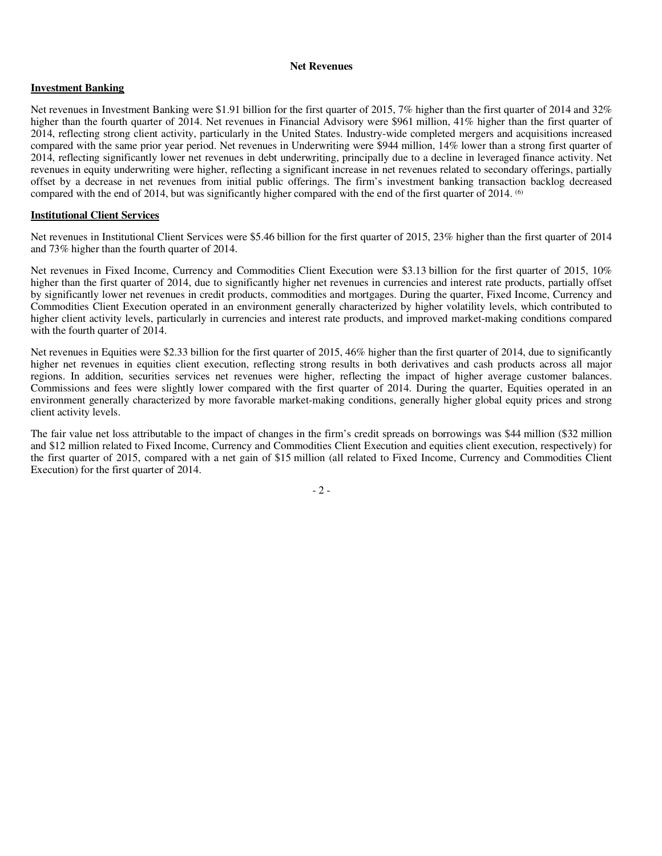#### **Net Revenues**

### **Investment Banking**

Net revenues in Investment Banking were \$1.91 billion for the first quarter of 2015, 7% higher than the first quarter of 2014 and 32% higher than the fourth quarter of 2014. Net revenues in Financial Advisory were \$961 million, 41% higher than the first quarter of 2014, reflecting strong client activity, particularly in the United States. Industry-wide completed mergers and acquisitions increased compared with the same prior year period. Net revenues in Underwriting were \$944 million, 14% lower than a strong first quarter of 2014, reflecting significantly lower net revenues in debt underwriting, principally due to a decline in leveraged finance activity. Net revenues in equity underwriting were higher, reflecting a significant increase in net revenues related to secondary offerings, partially offset by a decrease in net revenues from initial public offerings. The firm's investment banking transaction backlog decreased compared with the end of 2014, but was significantly higher compared with the end of the first quarter of 2014. <sup>(6)</sup>

### **Institutional Client Services**

Net revenues in Institutional Client Services were \$5.46 billion for the first quarter of 2015, 23% higher than the first quarter of 2014 and 73% higher than the fourth quarter of 2014.

Net revenues in Fixed Income, Currency and Commodities Client Execution were \$3.13 billion for the first quarter of 2015, 10% higher than the first quarter of 2014, due to significantly higher net revenues in currencies and interest rate products, partially offset by significantly lower net revenues in credit products, commodities and mortgages. During the quarter, Fixed Income, Currency and Commodities Client Execution operated in an environment generally characterized by higher volatility levels, which contributed to higher client activity levels, particularly in currencies and interest rate products, and improved market-making conditions compared with the fourth quarter of 2014.

Net revenues in Equities were \$2.33 billion for the first quarter of 2015, 46% higher than the first quarter of 2014, due to significantly higher net revenues in equities client execution, reflecting strong results in both derivatives and cash products across all major regions. In addition, securities services net revenues were higher, reflecting the impact of higher average customer balances. Commissions and fees were slightly lower compared with the first quarter of 2014. During the quarter, Equities operated in an environment generally characterized by more favorable market-making conditions, generally higher global equity prices and strong client activity levels.

The fair value net loss attributable to the impact of changes in the firm's credit spreads on borrowings was \$44 million (\$32 million and \$12 million related to Fixed Income, Currency and Commodities Client Execution and equities client execution, respectively) for the first quarter of 2015, compared with a net gain of \$15 million (all related to Fixed Income, Currency and Commodities Client Execution) for the first quarter of 2014.

- 2 -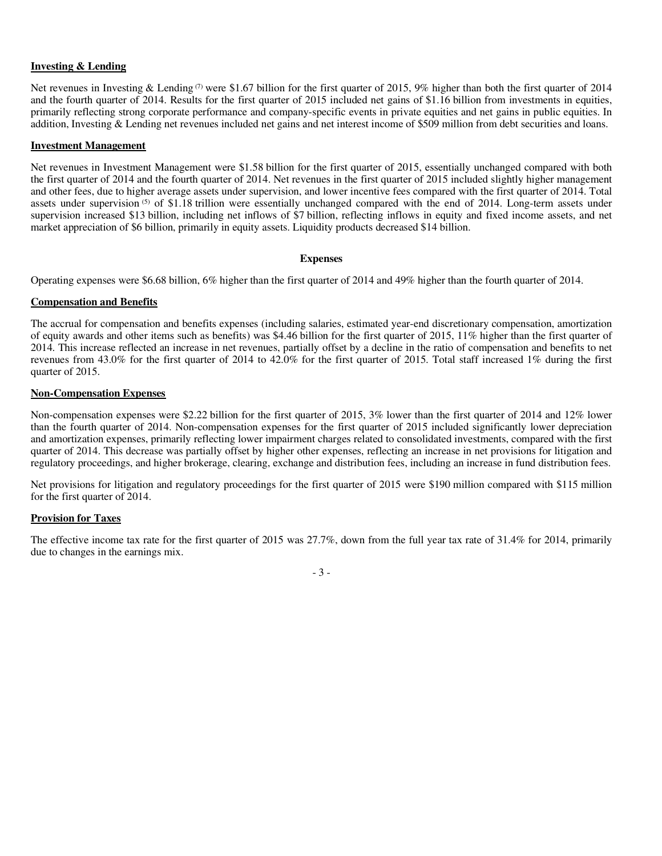# **Investing & Lending**

Net revenues in Investing & Lending<sup>(7)</sup> were \$1.67 billion for the first quarter of 2015, 9% higher than both the first quarter of 2014 and the fourth quarter of 2014. Results for the first quarter of 2015 included net gains of \$1.16 billion from investments in equities, primarily reflecting strong corporate performance and company-specific events in private equities and net gains in public equities. In addition, Investing & Lending net revenues included net gains and net interest income of \$509 million from debt securities and loans.

#### **Investment Management**

Net revenues in Investment Management were \$1.58 billion for the first quarter of 2015, essentially unchanged compared with both the first quarter of 2014 and the fourth quarter of 2014. Net revenues in the first quarter of 2015 included slightly higher management and other fees, due to higher average assets under supervision, and lower incentive fees compared with the first quarter of 2014. Total assets under supervision <sup>(5)</sup> of \$1.18 trillion were essentially unchanged compared with the end of 2014. Long-term assets under supervision increased \$13 billion, including net inflows of \$7 billion, reflecting inflows in equity and fixed income assets, and net market appreciation of \$6 billion, primarily in equity assets. Liquidity products decreased \$14 billion.

#### **Expenses**

Operating expenses were \$6.68 billion, 6% higher than the first quarter of 2014 and 49% higher than the fourth quarter of 2014.

#### **Compensation and Benefits**

The accrual for compensation and benefits expenses (including salaries, estimated year-end discretionary compensation, amortization of equity awards and other items such as benefits) was \$4.46 billion for the first quarter of 2015, 11% higher than the first quarter of 2014. This increase reflected an increase in net revenues, partially offset by a decline in the ratio of compensation and benefits to net revenues from 43.0% for the first quarter of 2014 to 42.0% for the first quarter of 2015. Total staff increased 1% during the first quarter of 2015.

#### **Non-Compensation Expenses**

Non-compensation expenses were \$2.22 billion for the first quarter of 2015, 3% lower than the first quarter of 2014 and 12% lower than the fourth quarter of 2014. Non-compensation expenses for the first quarter of 2015 included significantly lower depreciation and amortization expenses, primarily reflecting lower impairment charges related to consolidated investments, compared with the first quarter of 2014. This decrease was partially offset by higher other expenses, reflecting an increase in net provisions for litigation and regulatory proceedings, and higher brokerage, clearing, exchange and distribution fees, including an increase in fund distribution fees.

Net provisions for litigation and regulatory proceedings for the first quarter of 2015 were \$190 million compared with \$115 million for the first quarter of 2014.

#### **Provision for Taxes**

The effective income tax rate for the first quarter of 2015 was 27.7%, down from the full year tax rate of 31.4% for 2014, primarily due to changes in the earnings mix.

- 3 -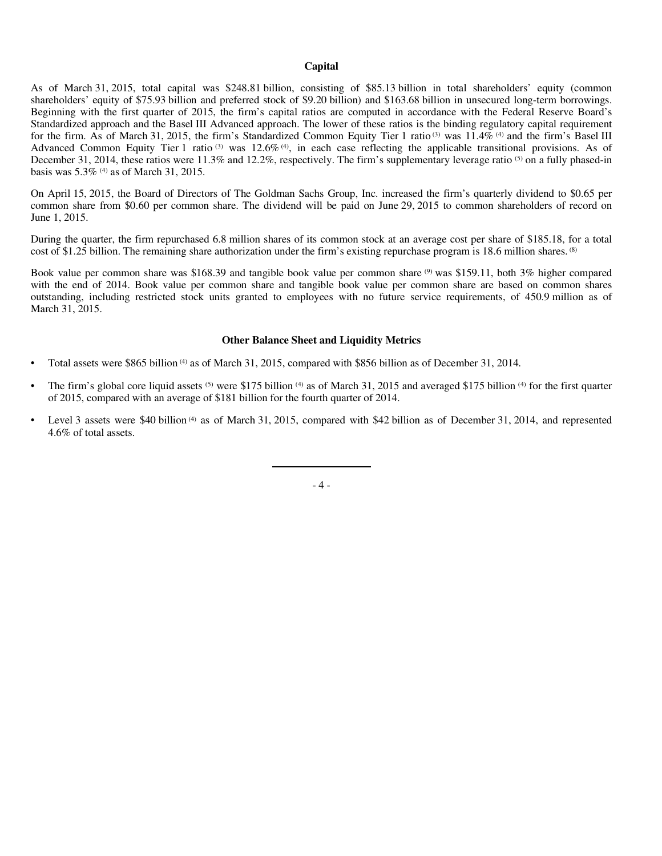#### **Capital**

As of March 31, 2015, total capital was \$248.81 billion, consisting of \$85.13 billion in total shareholders' equity (common shareholders' equity of \$75.93 billion and preferred stock of \$9.20 billion) and \$163.68 billion in unsecured long-term borrowings. Beginning with the first quarter of 2015, the firm's capital ratios are computed in accordance with the Federal Reserve Board's Standardized approach and the Basel III Advanced approach. The lower of these ratios is the binding regulatory capital requirement for the firm. As of March 31, 2015, the firm's Standardized Common Equity Tier 1 ratio <sup>(3)</sup> was  $11.4\%$  <sup>(4)</sup> and the firm's Basel III Advanced Common Equity Tier 1 ratio  $(3)$  was  $12.6\%$   $(4)$ , in each case reflecting the applicable transitional provisions. As of December 31, 2014, these ratios were 11.3% and 12.2%, respectively. The firm's supplementary leverage ratio (5) on a fully phased-in basis was  $5.3\%$  <sup>(4)</sup> as of March 31, 2015.

On April 15, 2015, the Board of Directors of The Goldman Sachs Group, Inc. increased the firm's quarterly dividend to \$0.65 per common share from \$0.60 per common share. The dividend will be paid on June 29, 2015 to common shareholders of record on June 1, 2015.

During the quarter, the firm repurchased 6.8 million shares of its common stock at an average cost per share of \$185.18, for a total cost of \$1.25 billion. The remaining share authorization under the firm's existing repurchase program is 18.6 million shares. <sup>(8)</sup>

Book value per common share was \$168.39 and tangible book value per common share (9) was \$159.11, both 3% higher compared with the end of 2014. Book value per common share and tangible book value per common share are based on common shares outstanding, including restricted stock units granted to employees with no future service requirements, of 450.9 million as of March 31, 2015.

#### **Other Balance Sheet and Liquidity Metrics**

- Total assets were \$865 billion  $(4)$  as of March 31, 2015, compared with \$856 billion as of December 31, 2014.
- The firm's global core liquid assets  $(5)$  were \$175 billion  $(4)$  as of March 31, 2015 and averaged \$175 billion  $(4)$  for the first quarter of 2015, compared with an average of \$181 billion for the fourth quarter of 2014.
- Level 3 assets were \$40 billion<sup>(4)</sup> as of March 31, 2015, compared with \$42 billion as of December 31, 2014, and represented 4.6% of total assets.

- 4 -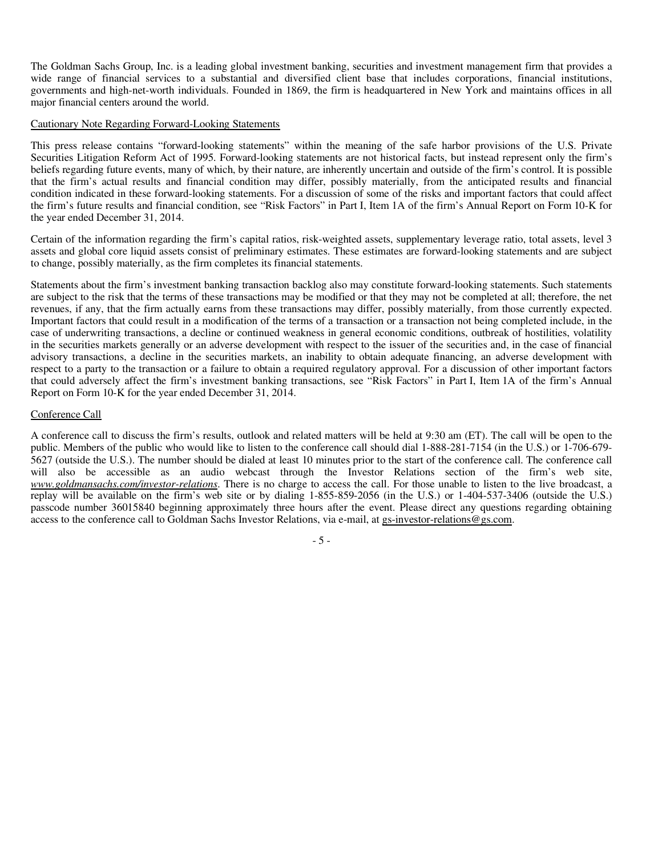The Goldman Sachs Group, Inc. is a leading global investment banking, securities and investment management firm that provides a wide range of financial services to a substantial and diversified client base that includes corporations, financial institutions, governments and high-net-worth individuals. Founded in 1869, the firm is headquartered in New York and maintains offices in all major financial centers around the world.

#### Cautionary Note Regarding Forward-Looking Statements

This press release contains "forward-looking statements" within the meaning of the safe harbor provisions of the U.S. Private Securities Litigation Reform Act of 1995. Forward-looking statements are not historical facts, but instead represent only the firm's beliefs regarding future events, many of which, by their nature, are inherently uncertain and outside of the firm's control. It is possible that the firm's actual results and financial condition may differ, possibly materially, from the anticipated results and financial condition indicated in these forward-looking statements. For a discussion of some of the risks and important factors that could affect the firm's future results and financial condition, see "Risk Factors" in Part I, Item 1A of the firm's Annual Report on Form 10-K for the year ended December 31, 2014.

Certain of the information regarding the firm's capital ratios, risk-weighted assets, supplementary leverage ratio, total assets, level 3 assets and global core liquid assets consist of preliminary estimates. These estimates are forward-looking statements and are subject to change, possibly materially, as the firm completes its financial statements.

Statements about the firm's investment banking transaction backlog also may constitute forward-looking statements. Such statements are subject to the risk that the terms of these transactions may be modified or that they may not be completed at all; therefore, the net revenues, if any, that the firm actually earns from these transactions may differ, possibly materially, from those currently expected. Important factors that could result in a modification of the terms of a transaction or a transaction not being completed include, in the case of underwriting transactions, a decline or continued weakness in general economic conditions, outbreak of hostilities, volatility in the securities markets generally or an adverse development with respect to the issuer of the securities and, in the case of financial advisory transactions, a decline in the securities markets, an inability to obtain adequate financing, an adverse development with respect to a party to the transaction or a failure to obtain a required regulatory approval. For a discussion of other important factors that could adversely affect the firm's investment banking transactions, see "Risk Factors" in Part I, Item 1A of the firm's Annual Report on Form 10-K for the year ended December 31, 2014.

#### Conference Call

A conference call to discuss the firm's results, outlook and related matters will be held at 9:30 am (ET). The call will be open to the public. Members of the public who would like to listen to the conference call should dial 1-888-281-7154 (in the U.S.) or 1-706-679- 5627 (outside the U.S.). The number should be dialed at least 10 minutes prior to the start of the conference call. The conference call will also be accessible as an audio webcast through the Investor Relations section of the firm's web site, *www.goldmansachs.com/investor-relations*. There is no charge to access the call. For those unable to listen to the live broadcast, a replay will be available on the firm's web site or by dialing 1-855-859-2056 (in the U.S.) or 1-404-537-3406 (outside the U.S.) passcode number 36015840 beginning approximately three hours after the event. Please direct any questions regarding obtaining access to the conference call to Goldman Sachs Investor Relations, via e-mail, at gs-investor-relations@gs.com.

- 5 -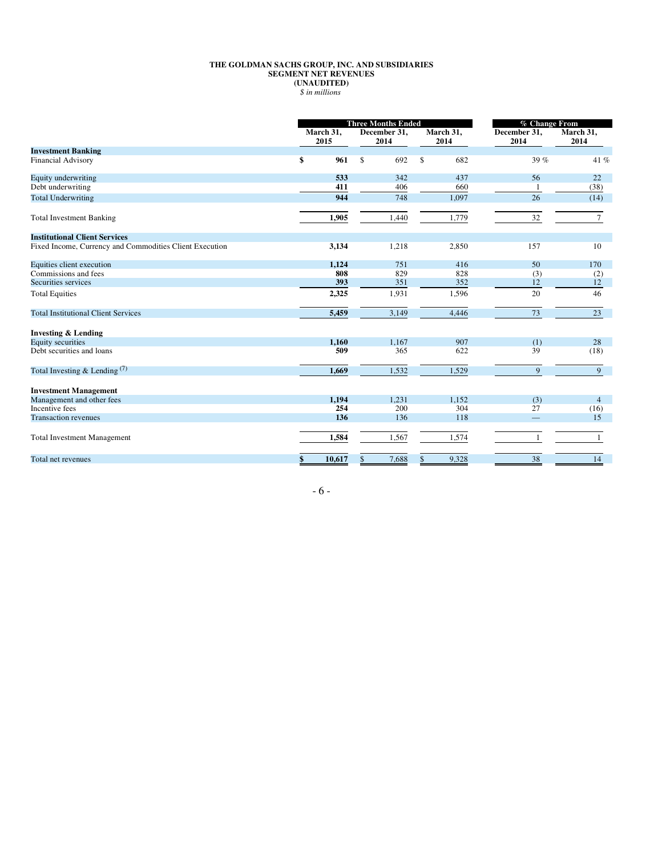#### **THE GOLDMAN SACHS GROUP, INC. AND SUBSIDIARIES SEGMENT NET REVENUES (UNAUDITED)**  *\$ in millions*

|                                                         | <b>Three Months Ended</b> |        |                      | <b>% Change From</b> |                   |       |                      |                   |  |
|---------------------------------------------------------|---------------------------|--------|----------------------|----------------------|-------------------|-------|----------------------|-------------------|--|
|                                                         | March 31,<br>2015         |        | December 31,<br>2014 |                      | March 31,<br>2014 |       | December 31,<br>2014 | March 31,<br>2014 |  |
| <b>Investment Banking</b>                               |                           |        |                      |                      |                   |       |                      |                   |  |
| <b>Financial Advisory</b>                               | \$                        | 961    | $\mathbf{\hat{S}}$   | 692                  | \$                | 682   | 39 %                 | 41 %              |  |
| Equity underwriting                                     |                           | 533    |                      | 342                  |                   | 437   | 56                   | 22                |  |
| Debt underwriting                                       |                           | 411    |                      | 406                  |                   | 660   |                      | (38)              |  |
| <b>Total Underwriting</b>                               |                           | 944    |                      | 748                  |                   | 1,097 | 26                   | (14)              |  |
| <b>Total Investment Banking</b>                         |                           | 1,905  |                      | 1,440                |                   | 1,779 | 32                   | $\tau$            |  |
| <b>Institutional Client Services</b>                    |                           |        |                      |                      |                   |       |                      |                   |  |
| Fixed Income, Currency and Commodities Client Execution |                           | 3,134  |                      | 1,218                |                   | 2,850 | 157                  | 10                |  |
| Equities client execution                               |                           | 1,124  |                      | 751                  |                   | 416   | 50                   | 170               |  |
| Commissions and fees                                    |                           | 808    |                      | 829                  |                   | 828   | (3)                  | (2)               |  |
| Securities services                                     |                           | 393    |                      | 351                  |                   | 352   | 12                   | 12                |  |
| <b>Total Equities</b>                                   |                           | 2,325  |                      | 1,931                |                   | 1,596 | 20                   | 46                |  |
| <b>Total Institutional Client Services</b>              |                           | 5,459  |                      | 3,149                |                   | 4,446 | 73                   | 23                |  |
| <b>Investing &amp; Lending</b>                          |                           |        |                      |                      |                   |       |                      |                   |  |
| <b>Equity securities</b>                                |                           | 1,160  |                      | 1,167                |                   | 907   | (1)                  | 28                |  |
| Debt securities and loans                               |                           | 509    |                      | 365                  |                   | 622   | 39                   | (18)              |  |
| Total Investing $&$ Lending $^{(7)}$                    |                           | 1,669  |                      | 1,532                |                   | 1,529 | 9                    | 9                 |  |
| <b>Investment Management</b>                            |                           |        |                      |                      |                   |       |                      |                   |  |
| Management and other fees                               |                           | 1,194  |                      | 1,231                |                   | 1,152 | (3)                  | $\overline{4}$    |  |
| Incentive fees                                          |                           | 254    |                      | 200                  |                   | 304   | 27                   | (16)              |  |
| <b>Transaction revenues</b>                             |                           | 136    |                      | 136                  |                   | 118   |                      | 15                |  |
| <b>Total Investment Management</b>                      |                           | 1,584  |                      | 1,567                |                   | 1,574 | $\mathbf{1}$         |                   |  |
| Total net revenues                                      | \$                        | 10,617 | \$                   | 7,688                | \$                | 9,328 | 38                   | 14                |  |

- 6 -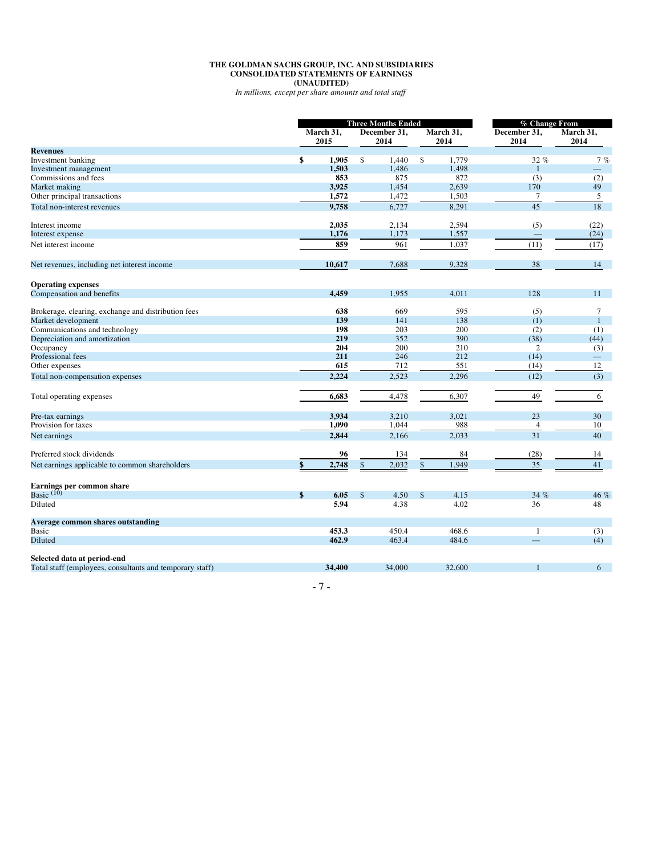#### **THE GOLDMAN SACHS GROUP, INC. AND SUBSIDIARIES CONSOLIDATED STATEMENTS OF EARNINGS (UNAUDITED)**

*In millions, except per share amounts and total staff* 

|                                                          | <b>Three Months Ended</b> |                      |        | % Change From     |        |                      |                          |  |
|----------------------------------------------------------|---------------------------|----------------------|--------|-------------------|--------|----------------------|--------------------------|--|
|                                                          | March 31,<br>2015         | December 31,<br>2014 |        | March 31,<br>2014 |        | December 31,<br>2014 | March 31,<br>2014        |  |
| <b>Revenues</b>                                          |                           |                      |        |                   |        |                      |                          |  |
| Investment banking                                       | \$<br>1.905               | \$                   | 1.440  | \$                | 1.779  | 32%                  | 7%                       |  |
| Investment management                                    | 1,503                     |                      | 1,486  |                   | 1,498  | $\mathbf{1}$         | $\overline{\phantom{0}}$ |  |
| Commissions and fees                                     | 853                       |                      | 875    |                   | 872    | (3)                  | (2)                      |  |
| Market making                                            | 3,925                     |                      | 1,454  |                   | 2,639  | 170                  | 49                       |  |
| Other principal transactions                             | 1,572                     |                      | 1,472  |                   | 1,503  | $\tau$               | 5                        |  |
| Total non-interest revenues                              | 9.758                     |                      | 6,727  |                   | 8,291  | 45                   | 18                       |  |
| Interest income                                          | 2.035                     |                      | 2.134  |                   | 2.594  | (5)                  | (22)                     |  |
| Interest expense                                         | 1,176                     |                      | 1,173  |                   | 1,557  |                      | (24)                     |  |
| Net interest income                                      | 859                       |                      | 961    |                   | 1,037  | (11)                 | (17)                     |  |
| Net revenues, including net interest income              | 10,617                    |                      | 7,688  |                   | 9,328  | 38                   | 14                       |  |
|                                                          |                           |                      |        |                   |        |                      |                          |  |
| <b>Operating expenses</b>                                |                           |                      |        |                   |        |                      |                          |  |
| Compensation and benefits                                | 4.459                     |                      | 1,955  |                   | 4,011  | 128                  | 11                       |  |
| Brokerage, clearing, exchange and distribution fees      | 638                       |                      | 669    |                   | 595    | (5)                  | 7                        |  |
| Market development                                       | 139                       |                      | 141    |                   | 138    | (1)                  | $\mathbf{1}$             |  |
| Communications and technology                            | 198                       |                      | 203    |                   | 200    | (2)                  | (1)                      |  |
| Depreciation and amortization                            | 219                       |                      | 352    |                   | 390    | (38)                 | (44)                     |  |
| Occupancy                                                | 204                       |                      | 200    |                   | 210    | $\overline{c}$       | (3)                      |  |
| Professional fees                                        | 211                       |                      | 246    |                   | 212    | (14)                 | -                        |  |
| Other expenses                                           | 615                       |                      | 712    |                   | 551    | (14)                 | 12                       |  |
| Total non-compensation expenses                          | 2,224                     |                      | 2,523  |                   | 2,296  | (12)                 | (3)                      |  |
| Total operating expenses                                 | 6,683                     |                      | 4,478  |                   | 6,307  | 49                   | 6                        |  |
|                                                          |                           |                      |        |                   |        |                      |                          |  |
| Pre-tax earnings                                         | 3,934                     |                      | 3,210  |                   | 3,021  | 23                   | 30                       |  |
| Provision for taxes                                      | 1,090                     |                      | 1,044  |                   | 988    | $\overline{4}$       | 10                       |  |
| Net earnings                                             | 2,844                     |                      | 2,166  |                   | 2,033  | 31                   | 40                       |  |
| Preferred stock dividends                                | 96                        |                      | 134    |                   | 84     | (28)                 | 14                       |  |
| Net earnings applicable to common shareholders           | \$<br>2,748               | $\mathbb{S}$         | 2,032  | \$                | 1,949  | 35                   | 41                       |  |
| Earnings per common share                                |                           |                      |        |                   |        |                      |                          |  |
| Basic $(10)$                                             | \$<br>6.05                | \$                   | 4.50   | \$                | 4.15   | 34 %                 | 46 %                     |  |
| Diluted                                                  | 5.94                      |                      | 4.38   |                   | 4.02   | 36                   | 48                       |  |
| <b>Average common shares outstanding</b>                 |                           |                      |        |                   |        |                      |                          |  |
| <b>Basic</b>                                             | 453.3                     |                      | 450.4  |                   | 468.6  | -1                   | (3)                      |  |
| Diluted                                                  | 462.9                     |                      | 463.4  |                   | 484.6  |                      | (4)                      |  |
| Selected data at period-end                              |                           |                      |        |                   |        |                      |                          |  |
| Total staff (employees, consultants and temporary staff) | 34.400                    |                      | 34,000 |                   | 32,600 |                      | 6                        |  |
|                                                          |                           |                      |        |                   |        |                      |                          |  |

- 7 -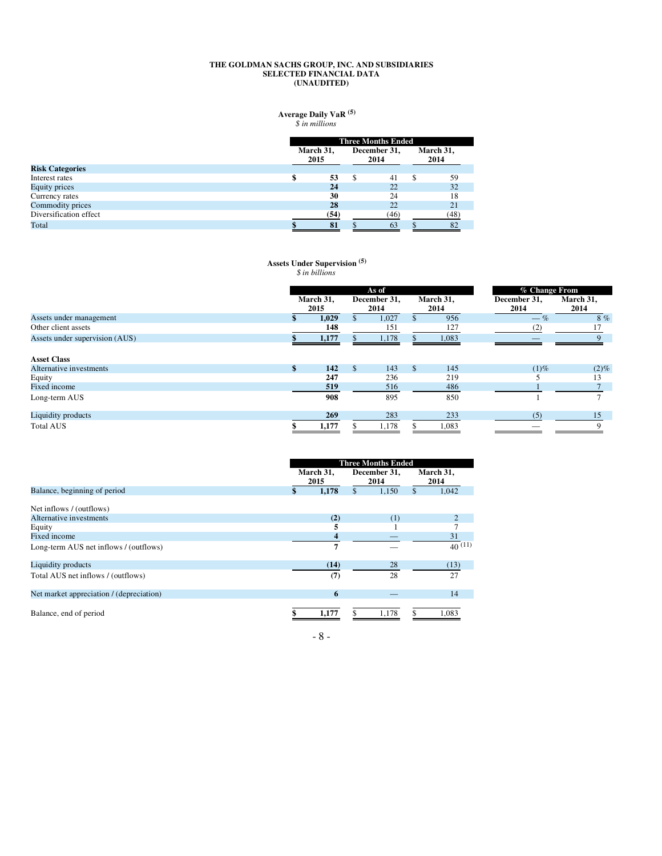#### **THE GOLDMAN SACHS GROUP, INC. AND SUBSIDIARIES SELECTED FINANCIAL DATA (UNAUDITED)**

#### **Average Daily VaR**  *\$ in millions* **(5)**

| March 31, |                      |      |                   |     |      |
|-----------|----------------------|------|-------------------|-----|------|
|           | December 31,<br>2014 |      | March 31,<br>2014 |     |      |
|           |                      |      |                   |     |      |
|           | 53                   | S.   | 41                | \$. | 59   |
|           | 24                   |      | 22                |     | 32   |
|           | 30                   |      | 24                |     | 18   |
|           | 28                   |      | 22                |     | 21   |
|           | (54)                 |      | (46)              |     | (48) |
|           | 81                   |      | 63                |     | 82   |
|           |                      | 2015 |                   |     |      |

#### **Assets Under Supervision**  *\$ in billions* **(5)**

|                                | As of             |               |                      |    |                   | % Change From        |                   |  |  |
|--------------------------------|-------------------|---------------|----------------------|----|-------------------|----------------------|-------------------|--|--|
|                                | March 31,<br>2015 |               | December 31,<br>2014 |    | March 31,<br>2014 | December 31,<br>2014 | March 31,<br>2014 |  |  |
| Assets under management        | 1,029             |               | 1,027                |    | 956               | $-\%$                | 8%                |  |  |
| Other client assets            | 148               |               | 151                  |    | 127               | (2)                  |                   |  |  |
| Assets under supervision (AUS) | 1,177             |               | 1,178                |    | 1,083             |                      |                   |  |  |
| <b>Asset Class</b>             |                   |               |                      |    |                   |                      |                   |  |  |
| Alternative investments        | \$<br>142         | <sup>\$</sup> | 143                  | \$ | 145               | $(1)\%$              | $(2)\%$           |  |  |
| Equity                         | 247               |               | 236                  |    | 219               |                      | 13                |  |  |
| Fixed income                   | 519               |               | 516                  |    | 486               |                      |                   |  |  |
| Long-term AUS                  | 908               |               | 895                  |    | 850               |                      |                   |  |  |
| Liquidity products             | 269               |               | 283                  |    | 233               | (5)                  | 15                |  |  |
| <b>Total AUS</b>               | 1,177             |               | 1,178                |    | 1,083             |                      | 9                 |  |  |

|                                          | March 31,<br>2015 |       |    | <b>Three Months Ended</b><br>December 31,<br>2014 |    | March 31,<br>2014 |
|------------------------------------------|-------------------|-------|----|---------------------------------------------------|----|-------------------|
| Balance, beginning of period             | \$                | 1,178 | \$ | 1,150                                             | \$ | 1,042             |
| Net inflows / (outflows)                 |                   |       |    |                                                   |    |                   |
| Alternative investments                  |                   | (2)   |    | (1)                                               |    | 2                 |
| Equity                                   |                   |       |    |                                                   |    |                   |
| Fixed income                             |                   | 4     |    |                                                   |    | 31                |
| Long-term AUS net inflows / (outflows)   |                   | 7     |    |                                                   |    | 40(11)            |
| Liquidity products                       |                   | (14)  |    | 28                                                |    | (13)              |
| Total AUS net inflows / (outflows)       |                   | (7)   |    | 28                                                |    | 27                |
| Net market appreciation / (depreciation) |                   | 6     |    |                                                   |    | 14                |
| Balance, end of period                   |                   | 1,177 |    | 1,178                                             |    | 1,083             |

- 8 -